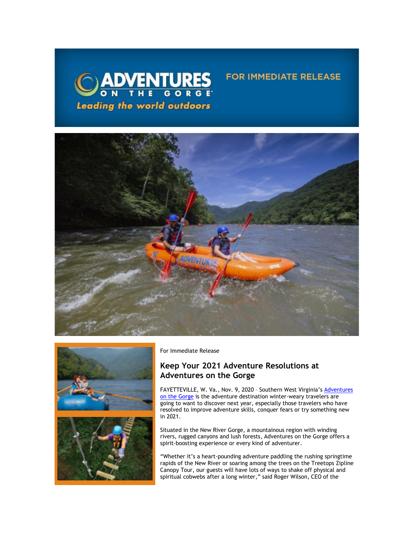



For Immediate Release

# **Keep Your 2021 Adventure Resolutions at Adventures on the Gorge**

FAYETTEVILLE, W. Va., Nov. 9, 2020 - Southern West Virginia's Adventures [on the Gorge](https://click.icptrack.com/icp/relay.php?r=13440961&msgid=465697&act=3SPQ&c=1378153&destination=http%3A%2F%2Fwww.adventuresonthegorge.com%2F&cf=13608&v=5a6d29c5bd89500c6946838c97b8849561ebbd48dbb2fdae9fe0068cb3f8e60e) is the adventure destination winter-weary travelers are going to want to discover next year, especially those travelers who have resolved to improve adventure skills, conquer fears or try something new in 2021.

**FOR IMMEDIATE RELEASE** 

Situated in the New River Gorge, a mountainous region with winding rivers, rugged canyons and lush forests, Adventures on the Gorge offers a spirit-boosting experience or every kind of adventurer.

"Whether it's a heart-pounding adventure paddling the rushing springtime rapids of the New River or soaring among the trees on the Treetops Zipline Canopy Tour, our guests will have lots of ways to shake off physical and spiritual cobwebs after a long winter," said Roger Wilson, CEO of the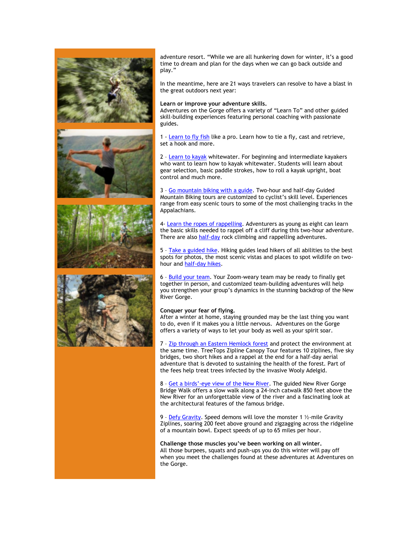

adventure resort. "While we are all hunkering down for winter, it's a good time to dream and plan for the days when we can go back outside and play."

In the meantime, here are 21 ways travelers can resolve to have a blast in the great outdoors next year:

### **Learn or improve your adventure skills.**

Adventures on the Gorge offers a variety of "Learn To" and other guided skill-building experiences featuring personal coaching with passionate guides.

1 [- Learn to fly fish](https://click.icptrack.com/icp/relay.php?r=13440961&msgid=465697&act=3SPQ&c=1378153&destination=https%3A%2F%2Fadventuresonthegorge.com%2Fadventures%2Ffishing%2Flearn-fly-fish%2F&cf=13608&v=e06ccd9215288e276111c7b0781a4bc85e26431cbc62b952c783a3bc799a8390) like a pro. Learn how to tie a fly, cast and retrieve, set a hook and more.

2 – [Learn to kayak](https://click.icptrack.com/icp/relay.php?r=13440961&msgid=465697&act=3SPQ&c=1378153&destination=https%3A%2F%2Fadventuresonthegorge.com%2Fadventures%2Fkayaking%2Flearn-kayak%2F&cf=13608&v=fa8045cc8474116661300dd819d73df276e1b9bc92e7357fe7c5b5ab5d6323ae) whitewater. For beginning and intermediate kayakers who want to learn how to kayak whitewater. Students will learn about gear selection, basic paddle strokes, how to roll a kayak upright, boat control and much more.

3 – [Go mountain biking with a guide.](https://click.icptrack.com/icp/relay.php?r=13440961&msgid=465697&act=3SPQ&c=1378153&destination=https%3A%2F%2Fadventuresonthegorge.com%2Fadventures%2Fmountain-biking%2Ftwo-hour-guided-mountain-biking%2F&cf=13608&v=3753d9865add7f0c007fe1e95e8154ce62557a25ee7cf061c0cff9213ab5bcd2) Two-hour and half-day Guided Mountain Biking tours are customized to cyclist's skill level. Experiences range from easy scenic tours to some of the most challenging tracks in the Appalachians.

4- [Learn the ropes of rappelling.](https://click.icptrack.com/icp/relay.php?r=13440961&msgid=465697&act=3SPQ&c=1378153&destination=https%3A%2F%2Fadventuresonthegorge.com%2Fadventures%2Fclimbing-rappelling%2Ftwo-hour-rappelling%2F&cf=13608&v=3d655b6d774a9d0685cce3aa2d3f02974b3219f10ada6d359507ce229bcee266) Adventurers as young as eight can learn the basic skills needed to rappel off a cliff during this two-hour adventure. There are also [half-day](https://click.icptrack.com/icp/relay.php?r=13440961&msgid=465697&act=3SPQ&c=1378153&destination=https%3A%2F%2Fadventuresonthegorge.com%2Fadventures%2Fclimbing-rappelling%2Fhalf-day-climbing-rappelling%2F&cf=13608&v=ad33cd8f9ac55a06fb4e2dc730db3a4280ac1663a88e057606f2b54b30e76cf9) rock climbing and rappelling adventures.

5 - [Take a guided hike.](https://click.icptrack.com/icp/relay.php?r=13440961&msgid=465697&act=3SPQ&c=1378153&destination=https%3A%2F%2Fadventuresonthegorge.com%2Fadventures%2Fguided-hiking%2F2-hour-guided-hike%2F&cf=13608&v=d3dbe8e7aca54b699b2a02743ba3e14f68b4f0ed827233ea63b783f2bf0e78cb) Hiking guides lead hikers of all abilities to the best spots for photos, the most scenic vistas and places to spot wildlife on twohour and [half-day hikes.](https://click.icptrack.com/icp/relay.php?r=13440961&msgid=465697&act=3SPQ&c=1378153&destination=https%3A%2F%2Fadventuresonthegorge.com%2Fadventures%2Fguided-hiking%2Fhalf-day-hike%2F&cf=13608&v=e41aff28761292b835183e8c130d26d6edefadd8854ecdee52e92bdd27252e43)

6 – [Build your team.](https://click.icptrack.com/icp/relay.php?r=13440961&msgid=465697&act=3SPQ&c=1378153&destination=https%3A%2F%2Fadventuresonthegorge.com%2Fadventures%2Fteam-building%2Fteam-challenge%2F&cf=13608&v=f37d8b50fd38bebd8d0c4e78c12cfaa76b6f7adb14453a99af67983fa036afcc) Your Zoom-weary team may be ready to finally get together in person, and customized team-building adventures will help you strengthen your group's dynamics in the stunning backdrop of the New River Gorge.

#### **Conquer your fear of flying.**

After a winter at home, staying grounded may be the last thing you want to do, even if it makes you a little nervous. Adventures on the Gorge offers a variety of ways to let your body as well as your spirit soar.

7 – [Zip through an Eastern Hemlock forest](https://click.icptrack.com/icp/relay.php?r=13440961&msgid=465697&act=3SPQ&c=1378153&destination=https%3A%2F%2Fadventuresonthegorge.com%2Fadventures%2Fzip-line-aerial-adventures%2Ftreetops-zip-line-canopy-tour%2F&cf=13608&v=d91862384dba58aa5469fc610fd0b748936bb315ce270c5a0c87f70bf4ea166c) and protect the environment at the same time. TreeTops Zipline Canopy Tour features 10 ziplines, five sky bridges, two short hikes and a rappel at the end for a half-day aerial adventure that is devoted to sustaining the health of the forest. Part of the fees help treat trees infected by the invasive Wooly Adelgid.

8 – Get a birds'[-eye view of the New River.](https://click.icptrack.com/icp/relay.php?r=13440961&msgid=465697&act=3SPQ&c=1378153&destination=https%3A%2F%2Fadventuresonthegorge.com%2Fadventures%2Fzip-line-aerial-adventures%2Fbridge-walk%2F&cf=13608&v=435dd7ef93b7a5ec1673b04382975af02f4cd97e1ef62cab683c9a525c7ed4a2) The guided New River Gorge Bridge Walk offers a slow walk along a 24-inch catwalk 850 feet above the New River for an unforgettable view of the river and a fascinating look at the architectural features of the famous bridge.

9 – [Defy Gravity.](https://click.icptrack.com/icp/relay.php?r=13440961&msgid=465697&act=3SPQ&c=1378153&destination=https%3A%2F%2Fadventuresonthegorge.com%2Fadventures%2Fzip-line-aerial-adventures%2Fgravity-zip-lines%2F&cf=13608&v=bd7e6377eb8baedfafff7af6bee1ba95960dda0618843f592b224f61b38722ab) Speed demons will love the monster 1 ½-mile Gravity Ziplines, soaring 200 feet above ground and zigzagging across the ridgeline of a mountain bowl. Expect speeds of up to 65 miles per hour.

**Challenge those muscles you've been working on all winter.**  All those burpees, squats and push-ups you do this winter will pay off when you meet the challenges found at these adventures at Adventures on the Gorge.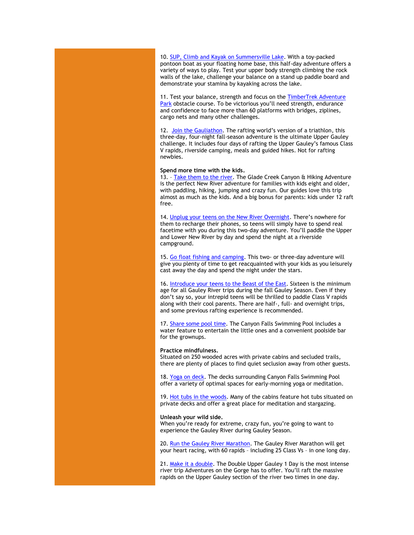10. [SUP, Climb and Kayak on Summersville Lake.](https://click.icptrack.com/icp/relay.php?r=13440961&msgid=465697&act=3SPQ&c=1378153&destination=https%3A%2F%2Fadventuresonthegorge.com%2Fadventures%2Flake-adventures%2Fhalf-day-summersville-lake-multi-sport%2F&cf=13608&v=22a15baade03980e2854c2be15d1140539d7ce2a8dc849d8408923f3393bdfe3) With a toy-packed pontoon boat as your floating home base, this half-day adventure offers a variety of ways to play. Test your upper body strength climbing the rock walls of the lake, challenge your balance on a stand up paddle board and demonstrate your stamina by kayaking across the lake.

11. Test your balance, strength and focus on the TimberTrek Adventure [Park](https://click.icptrack.com/icp/relay.php?r=13440961&msgid=465697&act=3SPQ&c=1378153&destination=https%3A%2F%2Fadventuresonthegorge.com%2Fadventures%2Fzip-line-aerial-adventures%2Ftimbertrek-adventure-park%2F&cf=13608&v=18ccc891771829c3d4c9e36973df56a6d0d839c635d665a6a43350403fdbaa88) obstacle course. To be victorious you'll need strength, endurance and confidence to face more than 60 platforms with bridges, ziplines, cargo nets and many other challenges.

12. [Join the Gauliathon](https://click.icptrack.com/icp/relay.php?r=13440961&msgid=465697&act=3SPQ&c=1378153&destination=https%3A%2F%2Fadventuresonthegorge.com%2Fadventures%2Fwhitewater-rafting%2Fgauley-river-quad-double-upper-gauley-throwback-overnight%2F&cf=13608&v=0988b2c4c6e901241cd807fb3c767c7d8f16e63d2eb73dce17fc57e7ed49f383). The rafting world's version of a triathlon, this three-day, four-night fall-season adventure is the ultimate Upper Gauley challenge. It includes four days of rafting the Upper Gauley's famous Class V rapids, riverside camping, meals and guided hikes. Not for rafting newbies.

#### **Spend more time with the kids.**

13. - [Take them to the river.](https://click.icptrack.com/icp/relay.php?r=13440961&msgid=465697&act=3SPQ&c=1378153&destination=https%3A%2F%2Fadventuresonthegorge.com%2Fadventures%2Fwhitewater-rafting%2Fglade-creek-canyon-rafting-hiking%2F&cf=13608&v=bcb818c2ee68bae1cd3df3453c0f50d0c2931dfc78232507e1b2df6460c2906a) The Glade Creek Canyon & Hiking Adventure is the perfect New River adventure for families with kids eight and older, with paddling, hiking, jumping and crazy fun. Our guides love this trip almost as much as the kids. And a big bonus for parents: kids under 12 raft free.

14. [Unplug your teens on the New River Overnight](https://click.icptrack.com/icp/relay.php?r=13440961&msgid=465697&act=3SPQ&c=1378153&destination=https%3A%2F%2Fadventuresonthegorge.com%2Fadventures%2Fwhitewater-rafting%2Flower-new-river-2-day-overnight%2F&cf=13608&v=9a4ea64023ef10215e6492794fa9b84103388d6465c33797f0d46e2214358659). There's nowhere for them to recharge their phones, so teens will simply have to spend real facetime with you during this two-day adventure. You'll paddle the Upper and Lower New River by day and spend the night at a riverside campground.

15. [Go float fishing and camping.](https://click.icptrack.com/icp/relay.php?r=13440961&msgid=465697&act=3SPQ&c=1378153&destination=https%3A%2F%2Fadventuresonthegorge.com%2Fadventures%2Ffishing%2Ffloat-fishing-two-day-trip%2F&cf=13608&v=805cd0d7b85f5c0d7a2fb55df75c205b6a513365592b317496a86368e640e81e) This two- or three-day adventure will give you plenty of time to get reacquainted with your kids as you leisurely cast away the day and spend the night under the stars.

16. [Introduce your teens to the Beast of the East.](https://click.icptrack.com/icp/relay.php?r=13440961&msgid=465697&act=3SPQ&c=1378153&destination=https%3A%2F%2Fadventuresonthegorge.com%2Fadventures%2Fwhitewater-rafting%2Fgauley-river-overnight%2F&cf=13608&v=1fbaa40e014cd234557867eff727b5d3c758a136876755b2adaf093b5bcc6e2d) Sixteen is the minimum age for all Gauley River trips during the fall Gauley Season. Even if they don't say so, your intrepid teens will be thrilled to paddle Class V rapids along with their cool parents. There are half-, full- and overnight trips, and some previous rafting experience is recommended.

17. [Share some pool time.](https://click.icptrack.com/icp/relay.php?r=13440961&msgid=465697&act=3SPQ&c=1378153&destination=https%3A%2F%2Fadventuresonthegorge.com%2Fcanyon-falls-swimming-pool%2F&cf=13608&v=ca02d48dfa1579869ec3034574489bcfb592ad2c13366df44b26408aaeab6078) The Canyon Falls Swimming Pool includes a water feature to entertain the little ones and a convenient poolside bar for the grownups.

#### **Practice mindfulness.**

Situated on 250 wooded acres with private cabins and secluded trails, there are plenty of places to find quiet seclusion away from other guests.

18. [Yoga on deck.](https://click.icptrack.com/icp/relay.php?r=13440961&msgid=465697&act=3SPQ&c=1378153&destination=https%3A%2F%2Fadventuresonthegorge.com%2Fresort%2F&cf=13608&v=46b6ab31337f31924b11178712ae201cf426f6fed1ade4408e34240df303231b) The decks surrounding Canyon Falls Swimming Pool offer a variety of optimal spaces for early-morning yoga or meditation.

19. [Hot tubs in the woods.](https://click.icptrack.com/icp/relay.php?r=13440961&msgid=465697&act=3SPQ&c=1378153&destination=https%3A%2F%2Fadventuresonthegorge.com%2Fdeluxe-lodging-options%2F&cf=13608&v=2cdc8fe0fd07050a74df311c94cc58ed23011ff10d5f4379f3239ccb0a0dd79e) Many of the cabins feature hot tubs situated on private decks and offer a great place for meditation and stargazing.

#### **Unleash your wild side.**

When you're ready for extreme, crazy fun, you're going to want to experience the Gauley River during Gauley Season.

20. [Run the Gauley River Marathon.](https://click.icptrack.com/icp/relay.php?r=13440961&msgid=465697&act=3SPQ&c=1378153&destination=https%3A%2F%2Fadventuresonthegorge.com%2Fadventures%2Fwhitewater-rafting%2Fgauley-river-marathon%2F&cf=13608&v=4161f57f58d36a1305f79c4320d04c988ef1abb55b43388fd843b9cc88367393) The Gauley River Marathon will get your heart racing, with 60 rapids – including 25 Class Vs – in one long day.

21. [Make it a double.](https://click.icptrack.com/icp/relay.php?r=13440961&msgid=465697&act=3SPQ&c=1378153&destination=https%3A%2F%2Fadventuresonthegorge.com%2Fadventures%2Fwhitewater-rafting%2Fdouble-upper-gauley-1-day%2F&cf=13608&v=b8990b4e21affba8ff481f608eed170861ac5beb041350d805626a7b2c276bb9) The Double Upper Gauley 1 Day is the most intense river trip Adventures on the Gorge has to offer. You'll raft the massive rapids on the Upper Gauley section of the river two times in one day.